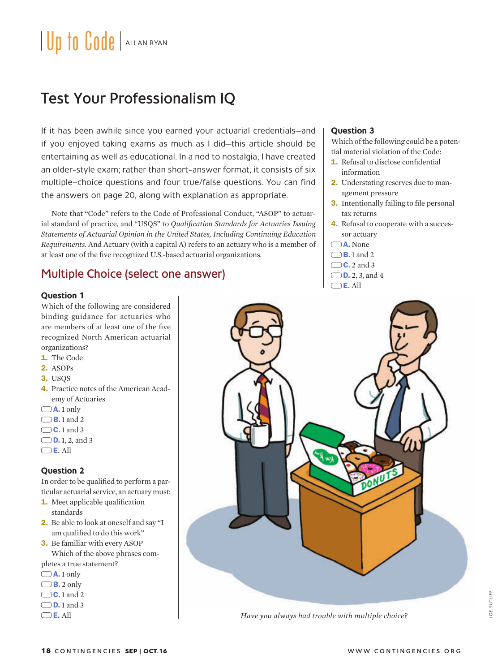# Test Your Professionalism IQ

If it has been awhile since you earned your actuarial credentials—and if you enjoyed taking exams as much as I did—this article should be entertaining as well as educational. In a nod to nostalgia, I have created an older-style exam; rather than short-answer format, it consists of six multiple–choice questions and four true/false questions. You can find the answers on page 20, along with explanation as appropriate.

Note that "Code" refers to the Code of Professional Conduct, "ASOP" to actuarial standard of practice, and "USQS" to *Qualification Standards for Actuaries Issuing Statements of Actuarial Opinion in the United States, Including Continuing Education Requirements*. And Actuary (with a capital A) refers to an actuary who is a member of at least one of the five recognized U.S.-based actuarial organizations.

## Multiple Choice (select one answer)

#### **Question 1**

Which of the following are considered binding guidance for actuaries who are members of at least one of the five recognized North American actuarial organizations?

- 1. The Code
- 2. ASOPs
- 3. USQS
- 4. Practice notes of the American Academy of Actuaries
- $\Box$ **A.** 1 only
- $\bigcirc$  **B.** 1 and 2
- $\bigcirc$  C.1 and 3
- $\Box$  **D.** 1, 2, and 3
- $\Box$  E. All

#### **Question 2**

In order to be qualified to perform a particular actuarial service, an actuary must:

- **1.** Meet applicable qualification standards
- 2. Be able to look at oneself and say "I am qualified to do this work"
- 3. Be familiar with every ASOP Which of the above phrases com-

pletes a true statement?

- $\Box$ **A.** 1 only
- $\Box$ **B.** 2 only
- $\bigcirc$  C.1 and 2
- $\bigcirc$  **D.** 1 and 3
- $\Box$  E. All

### **Question 3**

Which of the following could be a potential material violation of the Code:

- 1. Refusal to disclose confidential information
- 2. Understating reserves due to management pressure
- 3. Intentionally failing to file personal tax returns
- 4. Refusal to cooperate with a successor actuary
- A. None
- $\Box$ B.1 and 2
- $\bigcap$  C. 2 and 3





*Have you always had trouble with multiple choice?*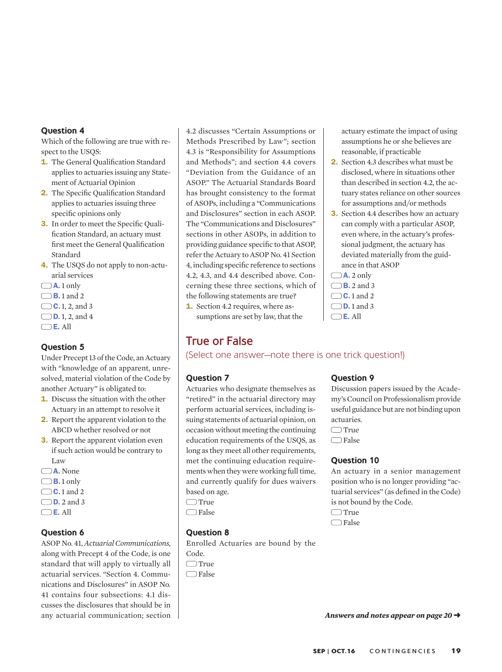#### **Question 4**

Which of the following are true with respect to the USQS:

- 1. The General Qualification Standard applies to actuaries issuing any Statement of Actuarial Opinion
- 2. The Specific Qualification Standard applies to actuaries issuing three specific opinions only
- 3. In order to meet the Specific Qualification Standard, an actuary must first meet the General Qualification Standard
- 4. The USQS do not apply to non-actuarial services
- $\Box$ **A.** 1 only
- $\Box$ B.1 and 2
- $\bigcirc$  **C.** 1, 2, and 3
- $\Box$  **D.** 1, 2, and 4
- $\bigcirc$ E. All

#### **Question 5**

Under Precept 13 of the Code, an Actuary with "knowledge of an apparent, unresolved, material violation of the Code by another Actuary" is obligated to:

- 1. Discuss the situation with the other Actuary in an attempt to resolve it
- 2. Report the apparent violation to the ABCD whether resolved or not
- **3.** Report the apparent violation even if such action would be contrary to Law
- A. None
- $\Box$ B.1 only
- $\bigcirc$  C.1 and 2  $\Box$  **D.** 2 and 3
- $\bigcirc$  E. All

#### **Question 6**

ASOP No. 41, *Actuarial Communications,* along with Precept 4 of the Code, is one standard that will apply to virtually all actuarial services. "Section 4. Communications and Disclosures" in ASOP No. 41 contains four subsections: 4.1 discusses the disclosures that should be in any actuarial communication; section 4.2 discusses "Certain Assumptions or Methods Prescribed by Law"; section 4.3 is "Responsibility for Assumptions and Methods"; and section 4.4 covers "Deviation from the Guidance of an ASOP." The Actuarial Standards Board has brought consistency to the format of ASOPs, including a "Communications and Disclosures" section in each ASOP. The "Communications and Disclosures" sections in other ASOPs, in addition to providing guidance specific to that ASOP, refer the Actuary to ASOP No. 41 Section 4, including specific reference to sections 4.2, 4.3, and 4.4 described above. Concerning these three sections, which of the following statements are true? 1. Section 4.2 requires, where as-

sumptions are set by law, that the

## True or False

(Select one answer—note there is one trick question!)

#### **Question 7**

Actuaries who designate themselves as "retired" in the actuarial directory may perform actuarial services, including issuing statements of actuarial opinion, on occasion without meeting the continuing education requirements of the USQS, as long as they meet all other requirements, met the continuing education requirements when they were working full time, and currently qualify for dues waivers based on age.

- $\Box$ True
- $\Box$ False

#### **Question 8**

Enrolled Actuaries are bound by the Code.  $\Box$ True

 $\Box$ False

#### **Question 9**

Discussion papers issued by the Academy's Council on Professionalism provide useful guidance but are not binding upon actuaries.  $\Box$ True  $\Box$ False

actuary estimate the impact of using assumptions he or she believes are

reasonable, if practicable 2. Section 4.3 describes what must be disclosed, where in situations other than described in section 4.2, the actuary states reliance on other sources for assumptions and/or methods 3. Section 4.4 describes how an actuary can comply with a particular ASOP, even where, in the actuary's professional judgment, the actuary has deviated materially from the guid-

ance in that ASOP

 $\Box$ **A.** 2 only  $\Box$  B. 2 and 3  $\bigcirc$  C.1 and 2  $\bigcirc$  **D.** 1 and 3  $\bigcirc$  E. All

#### **Question 10**

An actuary in a senior management position who is no longer providing "actuarial services" (as defined in the Code) is not bound by the Code.  $\Box$ True

 $\Box$ False

Answers and notes appear on page 20  $\rightarrow$